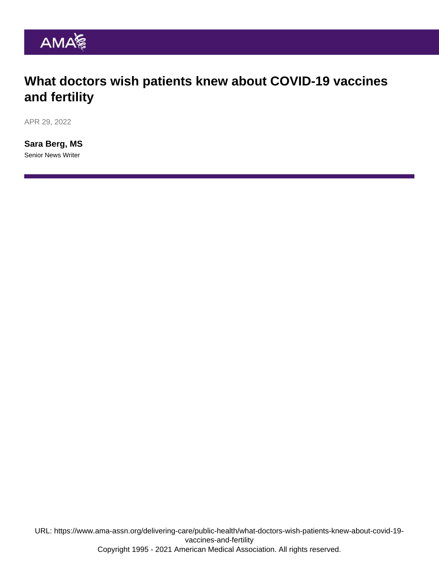### What doctors wish patients knew about COVID-19 vaccines and fertility

APR 29, 2022

[Sara Berg, MS](https://www.ama-assn.org/news-leadership-viewpoints/authors-news-leadership-viewpoints/sara-berg-ms) Senior News Writer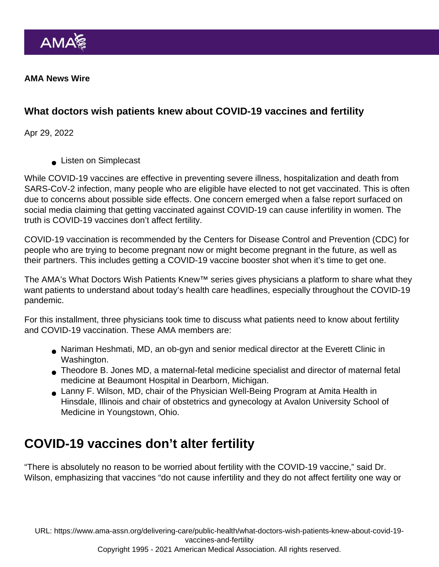AMA News Wire

What doctors wish patients knew about COVID-19 vaccines and fertility

Apr 29, 2022

**Listen on Simplecast** 

While COVID-19 vaccines are effective in preventing severe illness, hospitalization and death from SARS-CoV-2 infection, many people who are eligible have elected to not get vaccinated. This is often due to concerns about possible side effects. One concern emerged when a false report surfaced on social media claiming that getting vaccinated against COVID-19 can cause infertility in women. The truth is COVID-19 vaccines don't affect fertility.

COVID-19 vaccination is recommended by the Centers for Disease Control and Prevention (CDC) for people who are trying to become pregnant now or might become pregnant in the future, as well as their partners. This includes getting a [COVID-19 vaccine booster shot](https://www.ama-assn.org/delivering-care/public-health/what-doctors-wish-patients-knew-about-covid-19-vaccine-boosters) when it's time to get one.

The AMA's [What Doctors Wish Patients Knew™](https://www.ama-assn.org/series/what-doctors-wish-patients-knew) series gives physicians a platform to share what they want patients to understand about today's health care headlines, especially throughout the COVID-19 pandemic.

For this installment, three physicians took time to discuss what patients need to know about fertility and COVID-19 vaccination. These AMA members are:

- Nariman Heshmati, MD, an ob-gyn and senior medical director at the Everett Clinic in Washington.
- Theodore B. Jones MD, a maternal-fetal medicine specialist and director of maternal fetal medicine at Beaumont Hospital in Dearborn, Michigan.
- Lanny F. Wilson, MD, chair of the Physician Well-Being Program at Amita Health in Hinsdale, Illinois and chair of obstetrics and gynecology at Avalon University School of Medicine in Youngstown, Ohio.

# COVID-19 vaccines don't alter fertility

"There is absolutely no reason to be worried about fertility with the COVID-19 vaccine," said Dr. Wilson, emphasizing that vaccines "do not cause infertility and they do not affect fertility one way or

URL: [https://www.ama-assn.org/delivering-care/public-health/what-doctors-wish-patients-knew-about-covid-19](https://www.ama-assn.org/delivering-care/public-health/what-doctors-wish-patients-knew-about-covid-19-vaccines-and-fertility) [vaccines-and-fertility](https://www.ama-assn.org/delivering-care/public-health/what-doctors-wish-patients-knew-about-covid-19-vaccines-and-fertility)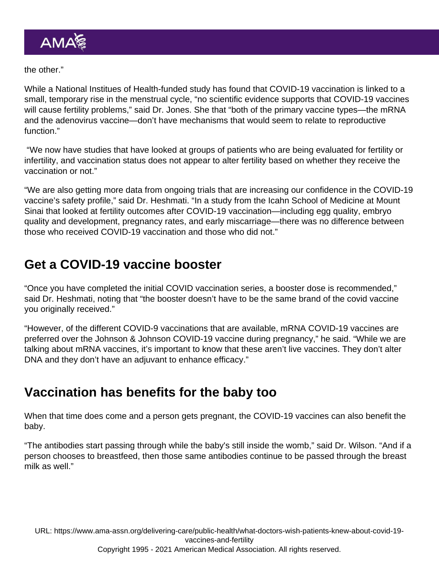the other."

While a [National Institues of Health-funded study has found](https://www.nih.gov/news-events/news-releases/covid-19-vaccination-associated-small-temporary-increase-menstrual-cycle-length-suggests-nih-funded-study) that COVID-19 vaccination is linked to a small, temporary rise in the menstrual cycle, "no scientific evidence supports that COVID-19 vaccines will cause fertility problems," said Dr. Jones. She that "both of the primary vaccine types—the mRNA and the adenovirus vaccine—don't have mechanisms that would seem to relate to reproductive function."

 "We now have studies that have looked at groups of patients who are being evaluated for fertility or infertility, and vaccination status does not appear to alter fertility based on whether they receive the vaccination or not."

"We are also getting more data from ongoing trials that are increasing our confidence in the COVID-19 vaccine's safety profile," said [Dr. Heshmati.](https://www.ama-assn.org/residents-students/specialty-profiles/what-it-s-obstetrics-and-gynecology-shadowing-dr-heshmati) "In a study from the Icahn School of Medicine at Mount Sinai that looked at fertility outcomes after COVID-19 vaccination—including egg quality, embryo quality and development, pregnancy rates, and early miscarriage—there was no difference between those who received COVID-19 vaccination and those who did not."

### Get a COVID-19 vaccine booster

"Once you have completed the initial COVID vaccination series, a booster dose is recommended," said Dr. Heshmati, noting that "the booster doesn't have to be the same brand of the covid vaccine you originally received."

"However, of the different COVID-9 vaccinations that are available, mRNA COVID-19 vaccines are preferred over the Johnson & Johnson COVID-19 vaccine during pregnancy," he said. "While we are talking about mRNA vaccines, it's important to know that these aren't live vaccines. They don't alter DNA and they don't have an adjuvant to enhance efficacy."

### Vaccination has benefits for the baby too

When that time does come and a person gets pregnant, the COVID-19 vaccines can also benefit the baby.

"The antibodies start passing through while the baby's still inside the womb," said Dr. Wilson. "And if a person chooses to breastfeed, then those same antibodies continue to be passed through the breast milk as well."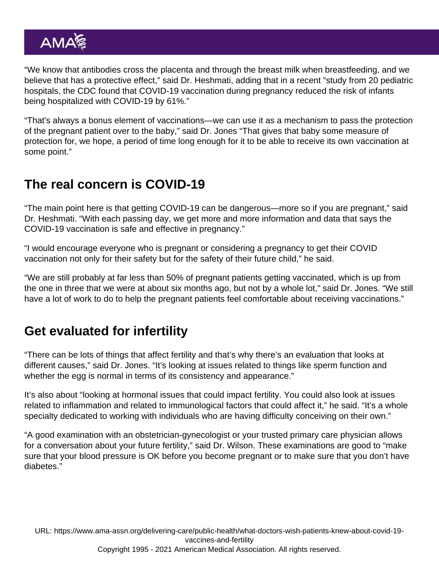"We know that antibodies cross the placenta and through the breast milk when breastfeeding, and we believe that has a protective effect," said Dr. Heshmati, adding that in a recent "study from 20 pediatric hospitals, the CDC found that COVID-19 vaccination during pregnancy reduced the risk of infants being hospitalized with COVID-19 by 61%."

"That's always a bonus element of vaccinations—we can use it as a mechanism to pass the protection of the pregnant patient over to the baby," said Dr. Jones "That gives that baby some measure of protection for, we hope, a period of time long enough for it to be able to receive its own vaccination at some point."

### The real concern is COVID-19

"The main point here is that getting COVID-19 can be dangerous—more so if you are pregnant," said Dr. Heshmati. "With each passing day, we get more and more information and data that says the COVID-19 vaccination is safe and effective in pregnancy."

"I would encourage everyone who is pregnant or considering a pregnancy to get their COVID vaccination not only for their safety but for the safety of their future child," he said.

"We are still probably at far less than 50% of pregnant patients getting vaccinated, which is up from the one in three that we were at about six months ago, but not by a whole lot," said Dr. Jones. "We still have a lot of work to do to help the pregnant patients feel comfortable about receiving vaccinations."

# Get evaluated for infertility

"There can be lots of things that affect fertility and that's why there's an evaluation that looks at different causes," said Dr. Jones. "It's looking at issues related to things like sperm function and whether the egg is normal in terms of its consistency and appearance."

It's also about "looking at hormonal issues that could impact fertility. You could also look at issues related to inflammation and related to immunological factors that could affect it," he said. "It's a whole specialty dedicated to working with individuals who are having difficulty conceiving on their own."

"A good examination with an obstetrician-gynecologist or your trusted primary care physician allows for a conversation about your future fertility," said Dr. Wilson. These examinations are good to "make sure that your blood pressure is OK before you become pregnant or to make sure that you don't have diabetes."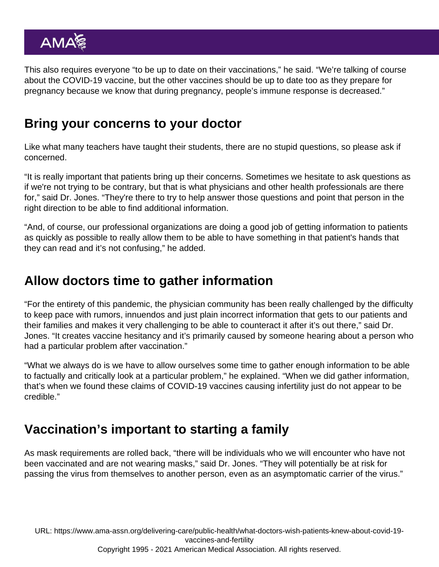This also requires everyone "to be up to date on their vaccinations," he said. "We're talking of course about the COVID-19 vaccine, but the other vaccines should be up to date too as they prepare for pregnancy because we know that during pregnancy, people's immune response is decreased."

#### Bring your concerns to your doctor

Like what many teachers have taught their students, there are no stupid questions, so please ask if concerned.

"It is really important that patients bring up their concerns. Sometimes we hesitate to ask questions as if we're not trying to be contrary, but that is what physicians and other health professionals are there for," said Dr. Jones. "They're there to try to help answer those questions and point that person in the right direction to be able to find additional information.

"And, of course, our professional organizations are doing a good job of getting information to patients as quickly as possible to really allow them to be able to have something in that patient's hands that they can read and it's not confusing," he added.

#### Allow doctors time to gather information

"For the entirety of this pandemic, the physician community has been really challenged by the difficulty to keep pace with rumors, innuendos and just plain incorrect information that gets to our patients and their families and makes it very challenging to be able to counteract it after it's out there," said Dr. Jones. "It creates vaccine hesitancy and it's primarily caused by someone hearing about a person who had a particular problem after vaccination."

"What we always do is we have to allow ourselves some time to gather enough information to be able to factually and critically look at a particular problem," he explained. "When we did gather information, that's when we found these claims of COVID-19 vaccines causing infertility just do not appear to be credible."

## Vaccination's important to starting a family

As mask requirements are rolled back, "there will be individuals who we will encounter who have not been vaccinated and are not wearing masks," said Dr. Jones. "They will potentially be at risk for passing the virus from themselves to another person, even as an asymptomatic carrier of the virus."